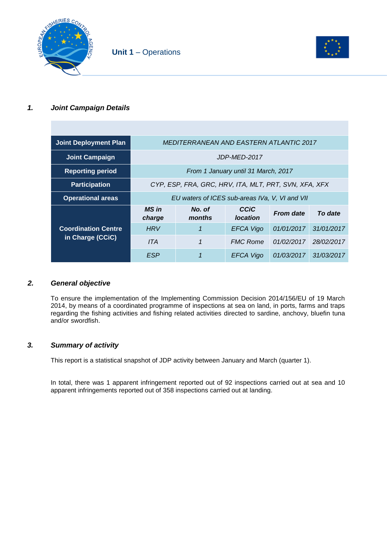



## *1. Joint Campaign Details*

| <b>Joint Deployment Plan</b> | MEDITERRANEAN AND EASTERN ATLANTIC 2017               |                  |                         |                  |            |
|------------------------------|-------------------------------------------------------|------------------|-------------------------|------------------|------------|
| <b>Joint Campaign</b>        | JDP-MED-2017                                          |                  |                         |                  |            |
| <b>Reporting period</b>      | From 1 January until 31 March, 2017                   |                  |                         |                  |            |
| <b>Participation</b>         | CYP, ESP, FRA, GRC, HRV, ITA, MLT, PRT, SVN, XFA, XFX |                  |                         |                  |            |
| <b>Operational areas</b>     | EU waters of ICES sub-areas IVa, V, VI and VII        |                  |                         |                  |            |
|                              | MS in<br>charge                                       | No. of<br>months | CCIC<br><b>location</b> | <b>From date</b> | To date    |
| <b>Coordination Centre</b>   | <b>HRV</b>                                            |                  | <b>EFCA Vigo</b>        | 01/01/2017       | 31/01/2017 |
| in Charge (CCiC)             | ITA                                                   | 1                | <b>FMC Rome</b>         | 01/02/2017       | 28/02/2017 |
|                              | ESP                                                   |                  | EFCA Vigo               | 01/03/2017       | 31/03/2017 |

## *2. General objective*

To ensure the implementation of the Implementing Commission Decision 2014/156/EU of 19 March 2014, by means of a coordinated programme of inspections at sea on land, in ports, farms and traps regarding the fishing activities and fishing related activities directed to sardine, anchovy, bluefin tuna and/or swordfish.

## *3. Summary of activity*

This report is a statistical snapshot of JDP activity between January and March (quarter 1).

In total, there was 1 apparent infringement reported out of 92 inspections carried out at sea and 10 apparent infringements reported out of 358 inspections carried out at landing.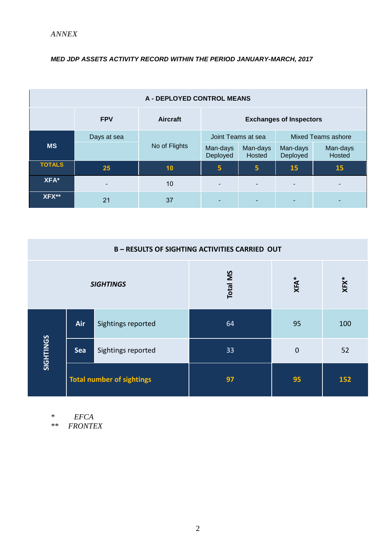## *MED JDP ASSETS ACTIVITY RECORD WITHIN THE PERIOD JANUARY-MARCH, 2017*

| <b>A - DEPLOYED CONTROL MEANS</b> |             |                 |                                |                    |                           |                    |  |
|-----------------------------------|-------------|-----------------|--------------------------------|--------------------|---------------------------|--------------------|--|
|                                   | <b>FPV</b>  | <b>Aircraft</b> | <b>Exchanges of Inspectors</b> |                    |                           |                    |  |
|                                   | Days at sea | No of Flights   | Joint Teams at sea             |                    | <b>Mixed Teams ashore</b> |                    |  |
| <b>MS</b>                         |             |                 | Man-days<br>Deployed           | Man-days<br>Hosted | Man-days<br>Deployed      | Man-days<br>Hosted |  |
| <b>TOTALS</b>                     | 25          | 10              | 5                              | 5                  | 15                        | <b>15</b>          |  |
| XFA*                              | -           | 10              |                                |                    | $\blacksquare$            |                    |  |
| XFX**                             | 21          | 37              |                                |                    |                           |                    |  |

| <b>B-RESULTS OF SIGHTING ACTIVITIES CARRIED OUT</b> |                                  |                    |        |                |     |  |
|-----------------------------------------------------|----------------------------------|--------------------|--------|----------------|-----|--|
| <b>SIGHTINGS</b>                                    |                                  | <b>Total MS</b>    | $XFA*$ | $XFX^*$        |     |  |
|                                                     | Air                              | Sightings reported | 64     | 95             | 100 |  |
| SIGHTINGS                                           | Sea                              | Sightings reported | 33     | $\overline{0}$ | 52  |  |
|                                                     | <b>Total number of sightings</b> |                    | 97     | 95             | 152 |  |

*\* EFCA*

*\*\* FRONTEX*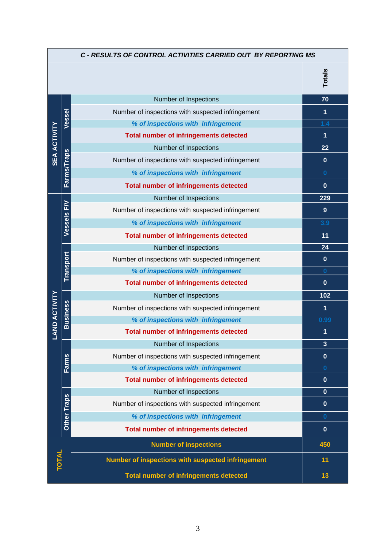|                      | C - RESULTS OF CONTROL ACTIVITIES CARRIED OUT BY REPORTING MS |                                                   |                         |  |  |
|----------------------|---------------------------------------------------------------|---------------------------------------------------|-------------------------|--|--|
|                      |                                                               |                                                   | <b>Totals</b>           |  |  |
|                      |                                                               | Number of Inspections                             | 70                      |  |  |
|                      | Vessel                                                        | Number of inspections with suspected infringement | 1                       |  |  |
|                      |                                                               | % of inspections with infringement                | 1.4                     |  |  |
|                      |                                                               | <b>Total number of infringements detected</b>     | 1                       |  |  |
|                      |                                                               | Number of Inspections                             | 22                      |  |  |
| <b>SEA ACTIVITY</b>  | <b>Farms/Traps</b>                                            | Number of inspections with suspected infringement | $\mathbf{0}$            |  |  |
|                      |                                                               | % of inspections with infringement                | $\bf{0}$                |  |  |
|                      |                                                               | <b>Total number of infringements detected</b>     | $\mathbf{0}$            |  |  |
|                      |                                                               | Number of Inspections                             | 229                     |  |  |
|                      | <b>Vessels F/V</b>                                            | Number of inspections with suspected infringement | 9                       |  |  |
|                      |                                                               | % of inspections with infringement                | 3.9                     |  |  |
|                      |                                                               | <b>Total number of infringements detected</b>     | 11                      |  |  |
|                      |                                                               | Number of Inspections                             | 24                      |  |  |
|                      | <b>Transport</b>                                              | Number of inspections with suspected infringement | $\mathbf 0$             |  |  |
|                      |                                                               | % of inspections with infringement                | $\bf{0}$                |  |  |
|                      |                                                               | <b>Total number of infringements detected</b>     | $\mathbf{0}$            |  |  |
|                      |                                                               | Number of Inspections                             | 102                     |  |  |
| <b>LAND ACTIVITY</b> | <b>Business</b>                                               | Number of inspections with suspected infringement | $\overline{\mathbf{1}}$ |  |  |
|                      |                                                               | % of inspections with infringement                | 0.99                    |  |  |
|                      |                                                               | <b>Total number of infringements detected</b>     | 1                       |  |  |
|                      |                                                               | Number of Inspections                             | $\overline{\mathbf{3}}$ |  |  |
|                      |                                                               | Number of inspections with suspected infringement | $\mathbf{0}$            |  |  |
|                      | Farms                                                         | % of inspections with infringement                | $\bf{0}$                |  |  |
|                      |                                                               | <b>Total number of infringements detected</b>     | $\mathbf{0}$            |  |  |
|                      |                                                               | Number of Inspections                             | $\mathbf{0}$            |  |  |
|                      | Other Traps                                                   | Number of inspections with suspected infringement | $\mathbf{0}$            |  |  |
|                      |                                                               | % of inspections with infringement                | $\bf{0}$                |  |  |
|                      |                                                               | <b>Total number of infringements detected</b>     | $\mathbf{0}$            |  |  |
|                      |                                                               | <b>Number of inspections</b>                      | 450                     |  |  |
| <b>TOTAL</b>         |                                                               | Number of inspections with suspected infringement | 11                      |  |  |
|                      |                                                               | <b>Total number of infringements detected</b>     | 13                      |  |  |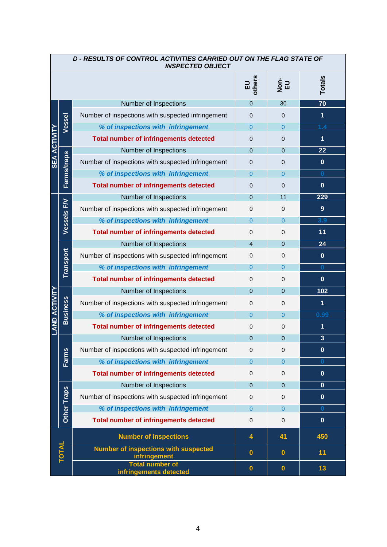|                      | D - RESULTS OF CONTROL ACTIVITIES CARRIED OUT ON THE FLAG STATE OF<br><b>INSPECTED OBJECT</b> |                                                             |                |                             |                         |  |  |
|----------------------|-----------------------------------------------------------------------------------------------|-------------------------------------------------------------|----------------|-----------------------------|-------------------------|--|--|
|                      |                                                                                               |                                                             | EU<br>others   | $\frac{1}{2}$ $\frac{1}{2}$ | Totals                  |  |  |
|                      |                                                                                               | Number of Inspections                                       | $\Omega$       | 30                          | 70                      |  |  |
|                      |                                                                                               | Number of inspections with suspected infringement           | $\Omega$       | 0                           | 1                       |  |  |
|                      | Vessel                                                                                        | % of inspections with infringement                          | $\Omega$       | $\Omega$                    | 1.4                     |  |  |
| <b>SEA ACTIVITY</b>  |                                                                                               | <b>Total number of infringements detected</b>               | $\Omega$       | 0                           | 1                       |  |  |
|                      |                                                                                               | Number of Inspections                                       | $\Omega$       | $\Omega$                    | 22                      |  |  |
|                      | <b>Farms/traps</b>                                                                            | Number of inspections with suspected infringement           | $\Omega$       | 0                           | $\mathbf{0}$            |  |  |
|                      |                                                                                               | % of inspections with infringement                          | $\Omega$       | $\Omega$                    | $\bf{0}$                |  |  |
|                      |                                                                                               | <b>Total number of infringements detected</b>               | $\Omega$       | $\Omega$                    | $\mathbf 0$             |  |  |
|                      |                                                                                               | Number of Inspections                                       | $\Omega$       | 11                          | 229                     |  |  |
|                      | Vessels FV                                                                                    | Number of inspections with suspected infringement           | $\mathbf{0}$   | $\Omega$                    | 9                       |  |  |
|                      |                                                                                               | % of inspections with infringement                          | $\Omega$       | $\overline{0}$              | 3.9                     |  |  |
|                      |                                                                                               | <b>Total number of infringements detected</b>               | $\mathbf{0}$   | $\Omega$                    | 11                      |  |  |
|                      |                                                                                               | Number of Inspections                                       | $\overline{4}$ | $\Omega$                    | 24                      |  |  |
|                      | <b>Transport</b>                                                                              | Number of inspections with suspected infringement           | $\mathbf{0}$   | $\mathbf 0$                 | $\bf{0}$                |  |  |
|                      |                                                                                               | % of inspections with infringement                          | $\Omega$       | $\overline{0}$              | $\bf{0}$                |  |  |
|                      |                                                                                               | <b>Total number of infringements detected</b>               | 0              | $\mathbf 0$                 | $\mathbf{0}$            |  |  |
|                      | <b>Business</b>                                                                               | Number of Inspections                                       | $\Omega$       | $\mathbf 0$                 | 102                     |  |  |
|                      |                                                                                               | Number of inspections with suspected infringement           | $\mathbf{0}$   | $\mathbf 0$                 | 1                       |  |  |
|                      |                                                                                               | % of inspections with infringement                          | $\Omega$       | 0                           | 0.99                    |  |  |
| <b>LAND ACTIVITY</b> |                                                                                               | <b>Total number of infringements detected</b>               | $\mathbf{0}$   | $\mathbf 0$                 | 1                       |  |  |
|                      |                                                                                               | Number of Inspections                                       | $\Omega$       | $\Omega$                    | $\overline{\mathbf{3}}$ |  |  |
|                      |                                                                                               | Number of inspections with suspected infringement           | $\mathbf 0$    | $\mathbf 0$                 | $\bf{0}$                |  |  |
|                      | Farms                                                                                         | % of inspections with infringement                          | $\Omega$       | $\overline{0}$              | 0                       |  |  |
|                      |                                                                                               | <b>Total number of infringements detected</b>               | $\mathbf{0}$   | $\mathbf 0$                 | $\mathbf 0$             |  |  |
|                      |                                                                                               | Number of Inspections                                       | $\Omega$       | $\Omega$                    | $\mathbf 0$             |  |  |
|                      | Other Traps                                                                                   | Number of inspections with suspected infringement           | $\mathbf 0$    | $\mathbf 0$                 | $\mathbf 0$             |  |  |
|                      |                                                                                               | % of inspections with infringement                          | $\Omega$       | 0                           | $\bf{0}$                |  |  |
|                      |                                                                                               | <b>Total number of infringements detected</b>               | $\mathbf{0}$   | $\mathbf 0$                 | $\mathbf 0$             |  |  |
|                      |                                                                                               | <b>Number of inspections</b>                                | 4              | 41                          | 450                     |  |  |
|                      | <b>TOTAL</b>                                                                                  | <b>Number of inspections with suspected</b><br>infringement | $\mathbf 0$    | $\mathbf{0}$                | 11                      |  |  |
|                      |                                                                                               | <b>Total number of</b><br>infringements detected            | $\mathbf{0}$   | $\bullet$                   | 13                      |  |  |